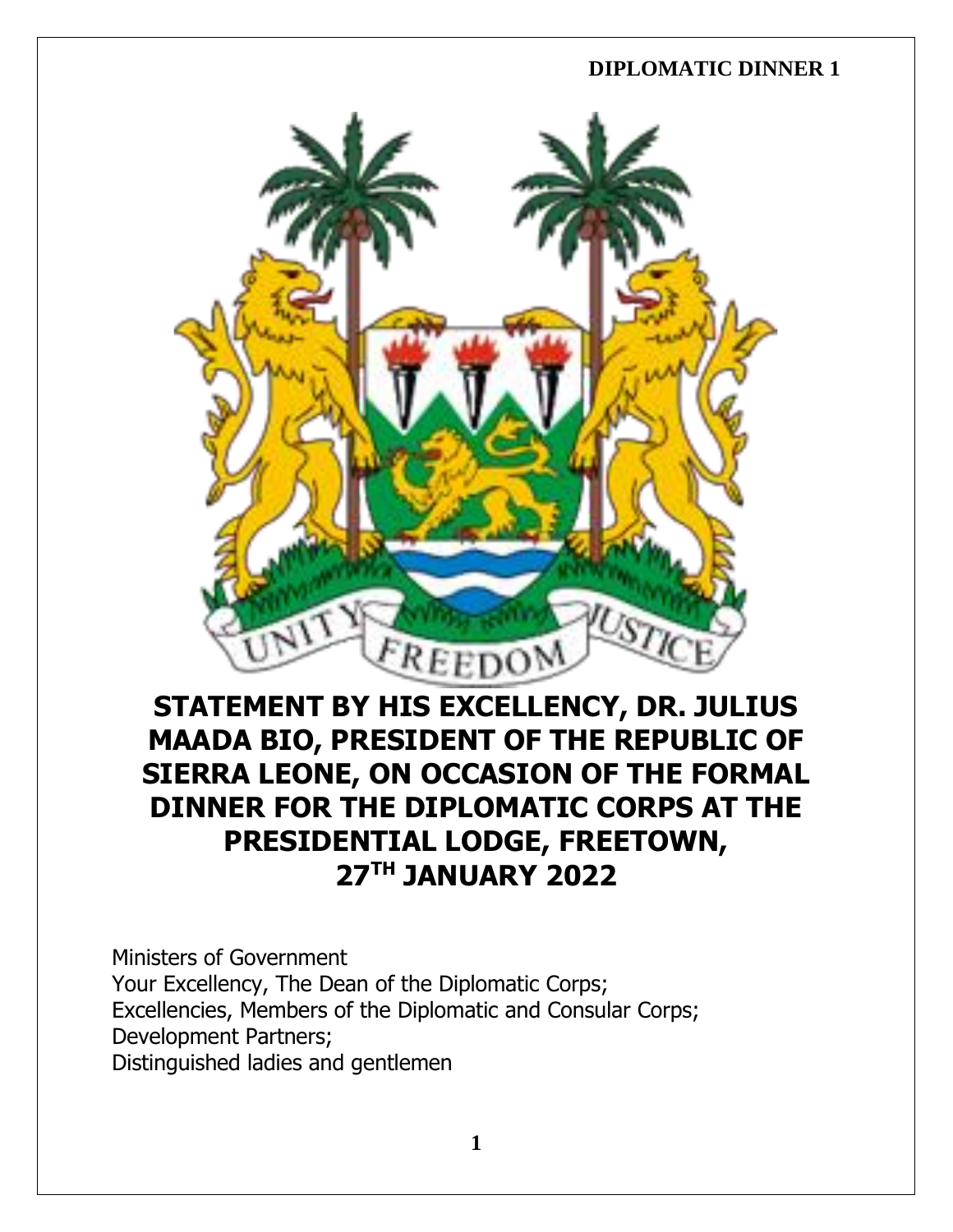

# **STATEMENT BY HIS EXCELLENCY, DR. JULIUS MAADA BIO, PRESIDENT OF THE REPUBLIC OF SIERRA LEONE, ON OCCASION OF THE FORMAL DINNER FOR THE DIPLOMATIC CORPS AT THE PRESIDENTIAL LODGE, FREETOWN, 27TH JANUARY 2022**

Ministers of Government Your Excellency, The Dean of the Diplomatic Corps; Excellencies, Members of the Diplomatic and Consular Corps; Development Partners; Distinguished ladies and gentlemen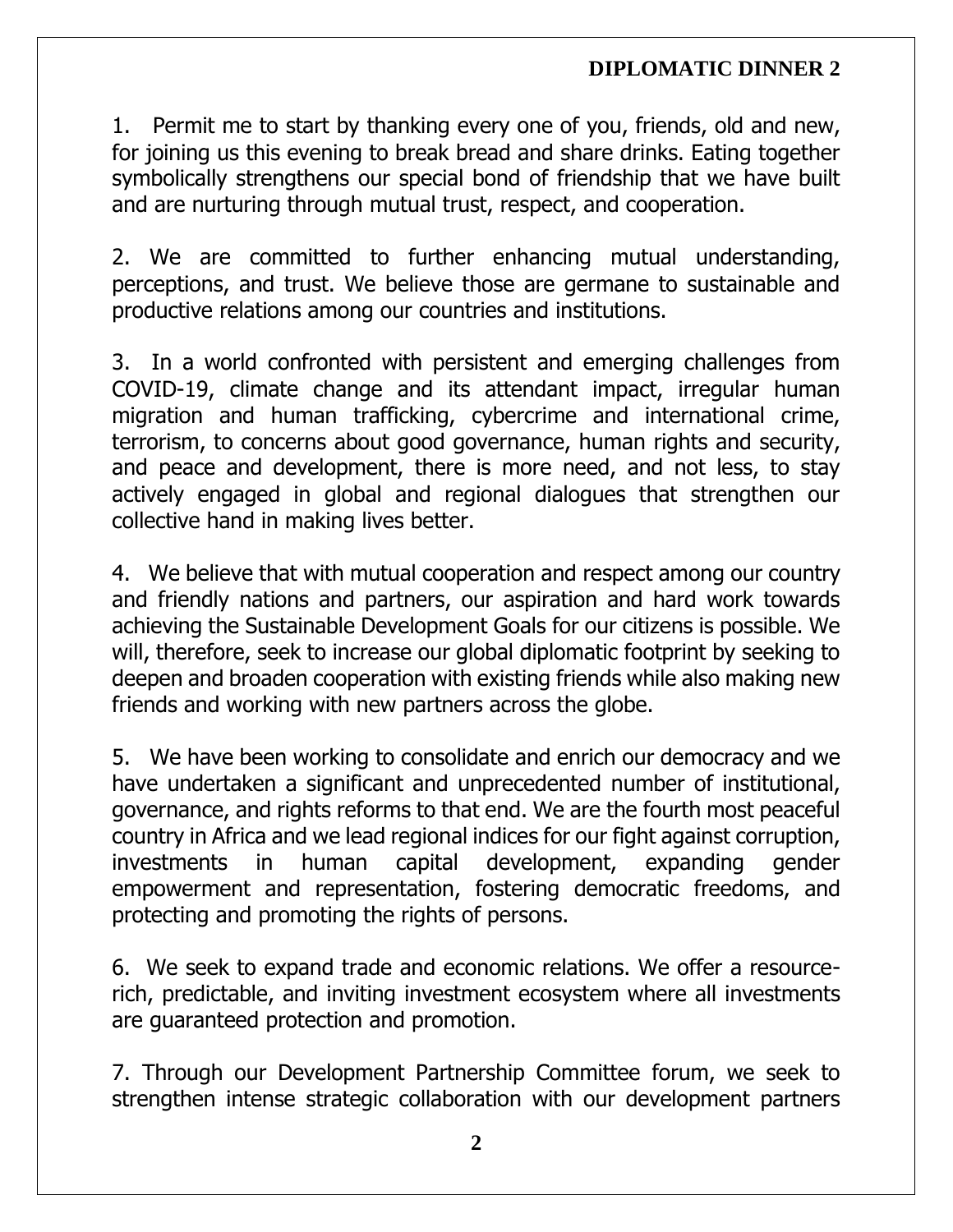1. Permit me to start by thanking every one of you, friends, old and new, for joining us this evening to break bread and share drinks. Eating together symbolically strengthens our special bond of friendship that we have built and are nurturing through mutual trust, respect, and cooperation.

2. We are committed to further enhancing mutual understanding, perceptions, and trust. We believe those are germane to sustainable and productive relations among our countries and institutions.

3. In a world confronted with persistent and emerging challenges from COVID-19, climate change and its attendant impact, irregular human migration and human trafficking, cybercrime and international crime, terrorism, to concerns about good governance, human rights and security, and peace and development, there is more need, and not less, to stay actively engaged in global and regional dialogues that strengthen our collective hand in making lives better.

4. We believe that with mutual cooperation and respect among our country and friendly nations and partners, our aspiration and hard work towards achieving the Sustainable Development Goals for our citizens is possible. We will, therefore, seek to increase our global diplomatic footprint by seeking to deepen and broaden cooperation with existing friends while also making new friends and working with new partners across the globe.

5. We have been working to consolidate and enrich our democracy and we have undertaken a significant and unprecedented number of institutional, governance, and rights reforms to that end. We are the fourth most peaceful country in Africa and we lead regional indices for our fight against corruption, investments in human capital development, expanding gender empowerment and representation, fostering democratic freedoms, and protecting and promoting the rights of persons.

6. We seek to expand trade and economic relations. We offer a resourcerich, predictable, and inviting investment ecosystem where all investments are guaranteed protection and promotion.

7. Through our Development Partnership Committee forum, we seek to strengthen intense strategic collaboration with our development partners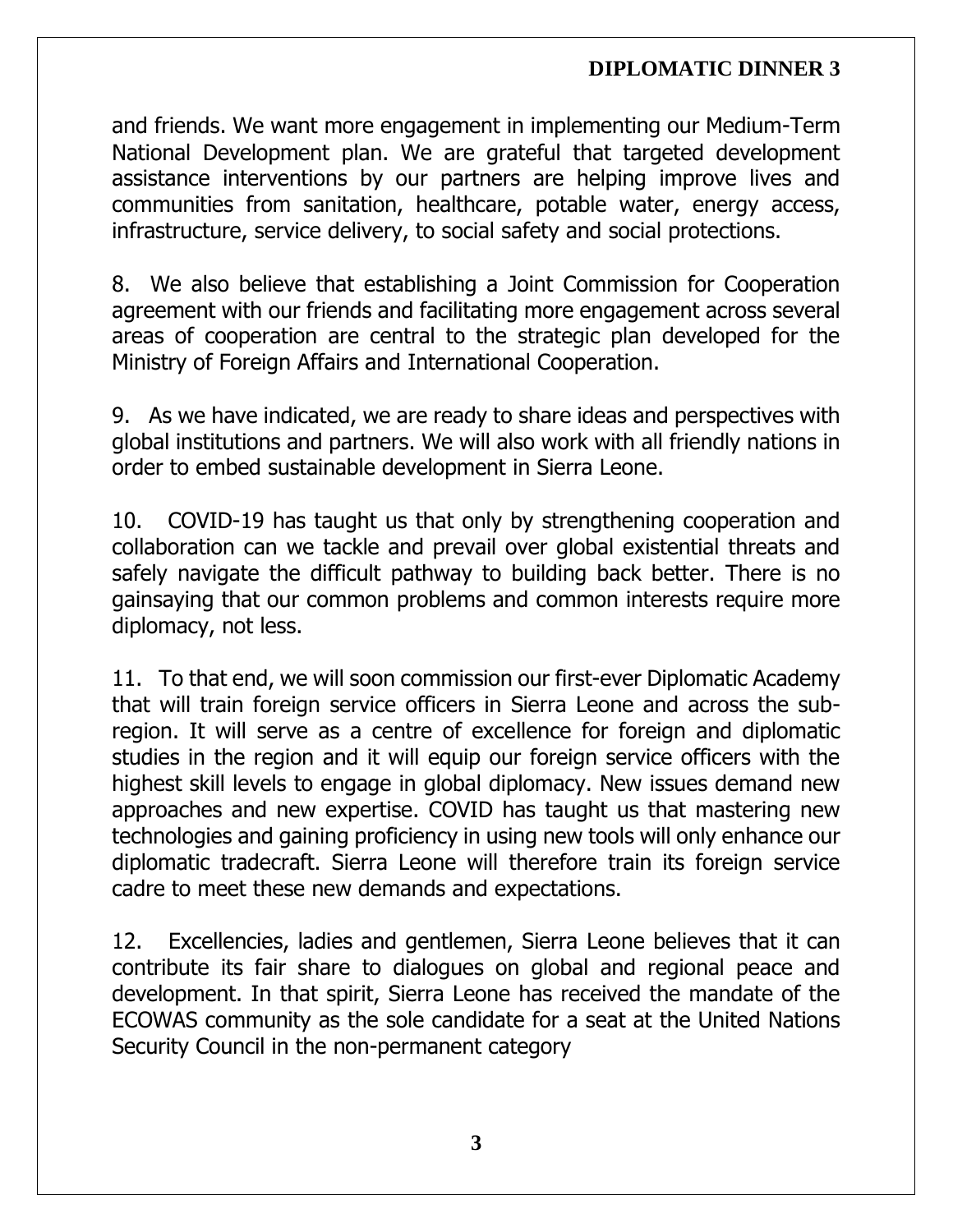and friends. We want more engagement in implementing our Medium-Term National Development plan. We are grateful that targeted development assistance interventions by our partners are helping improve lives and communities from sanitation, healthcare, potable water, energy access, infrastructure, service delivery, to social safety and social protections.

8. We also believe that establishing a Joint Commission for Cooperation agreement with our friends and facilitating more engagement across several areas of cooperation are central to the strategic plan developed for the Ministry of Foreign Affairs and International Cooperation.

9. As we have indicated, we are ready to share ideas and perspectives with global institutions and partners. We will also work with all friendly nations in order to embed sustainable development in Sierra Leone.

10. COVID-19 has taught us that only by strengthening cooperation and collaboration can we tackle and prevail over global existential threats and safely navigate the difficult pathway to building back better. There is no gainsaying that our common problems and common interests require more diplomacy, not less.

11. To that end, we will soon commission our first-ever Diplomatic Academy that will train foreign service officers in Sierra Leone and across the subregion. It will serve as a centre of excellence for foreign and diplomatic studies in the region and it will equip our foreign service officers with the highest skill levels to engage in global diplomacy. New issues demand new approaches and new expertise. COVID has taught us that mastering new technologies and gaining proficiency in using new tools will only enhance our diplomatic tradecraft. Sierra Leone will therefore train its foreign service cadre to meet these new demands and expectations.

12. Excellencies, ladies and gentlemen, Sierra Leone believes that it can contribute its fair share to dialogues on global and regional peace and development. In that spirit, Sierra Leone has received the mandate of the ECOWAS community as the sole candidate for a seat at the United Nations Security Council in the non-permanent category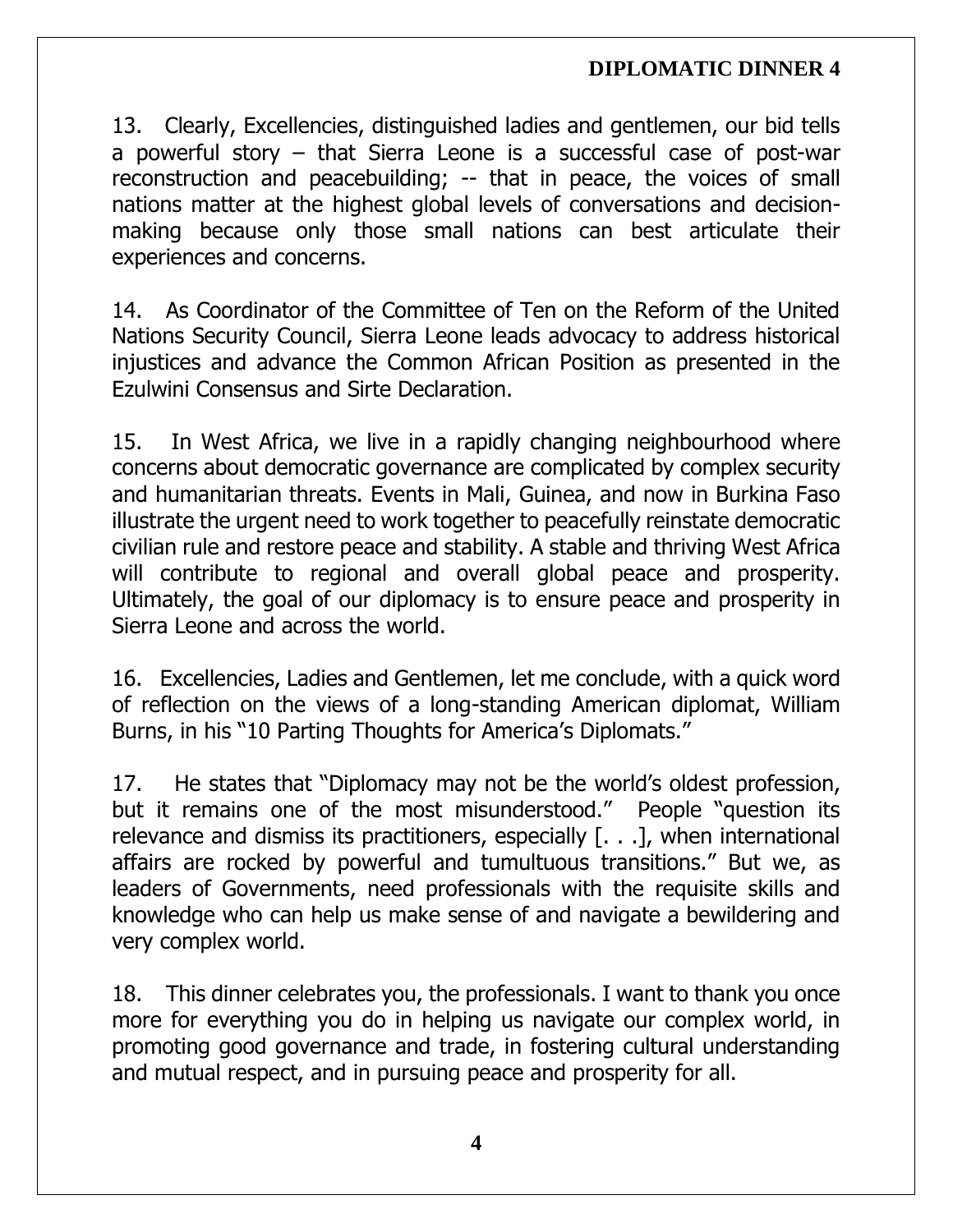13. Clearly, Excellencies, distinguished ladies and gentlemen, our bid tells a powerful story – that Sierra Leone is a successful case of post-war reconstruction and peacebuilding; -- that in peace, the voices of small nations matter at the highest global levels of conversations and decisionmaking because only those small nations can best articulate their experiences and concerns.

14. As Coordinator of the Committee of Ten on the Reform of the United Nations Security Council, Sierra Leone leads advocacy to address historical injustices and advance the Common African Position as presented in the Ezulwini Consensus and Sirte Declaration.

15. In West Africa, we live in a rapidly changing neighbourhood where concerns about democratic governance are complicated by complex security and humanitarian threats. Events in Mali, Guinea, and now in Burkina Faso illustrate the urgent need to work together to peacefully reinstate democratic civilian rule and restore peace and stability. A stable and thriving West Africa will contribute to regional and overall global peace and prosperity. Ultimately, the goal of our diplomacy is to ensure peace and prosperity in Sierra Leone and across the world.

16. Excellencies, Ladies and Gentlemen, let me conclude, with a quick word of reflection on the views of a long-standing American diplomat, William Burns, in his "10 Parting Thoughts for America's Diplomats."

17. He states that "Diplomacy may not be the world's oldest profession, but it remains one of the most misunderstood." People "question its relevance and dismiss its practitioners, especially [. . .], when international affairs are rocked by powerful and tumultuous transitions." But we, as leaders of Governments, need professionals with the requisite skills and knowledge who can help us make sense of and navigate a bewildering and very complex world.

18. This dinner celebrates you, the professionals. I want to thank you once more for everything you do in helping us navigate our complex world, in promoting good governance and trade, in fostering cultural understanding and mutual respect, and in pursuing peace and prosperity for all.